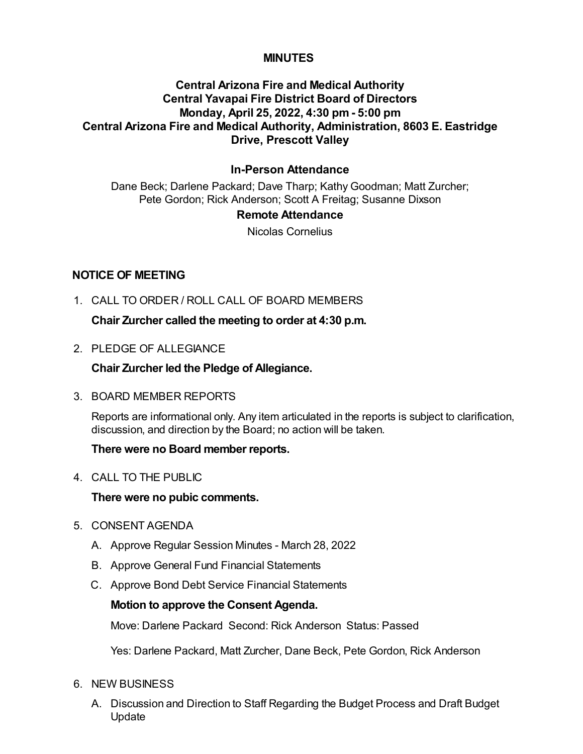## **MINUTES**

# **Central Arizona Fire and Medical Authority Central Yavapai Fire District Board of Directors Monday, April 25, 2022, 4:30 pm - 5:00 pm Central Arizona Fire and Medical Authority, Administration, 8603 E. Eastridge Drive, Prescott Valley**

# **In-Person Attendance**

Dane Beck; Darlene Packard; Dave Tharp; Kathy Goodman; Matt Zurcher; Pete Gordon; Rick Anderson; Scott A Freitag; Susanne Dixson

#### **Remote Attendance**

Nicolas Cornelius

## **NOTICE OF MEETING**

1. CALL TO ORDER / ROLL CALL OF BOARD MEMBERS

**Chair Zurcher called the meeting to order at 4:30 p.m.**

2. PLEDGE OF ALLEGIANCE

**Chair Zurcher led the Pledge of Allegiance.**

3. BOARD MEMBER REPORTS

Reports are informational only. Any item articulated in the reports is subject to clarification, discussion, and direction by the Board; no action will be taken.

### **There were no Board member reports.**

4. CALL TO THE PUBLIC

### **There were no pubic comments.**

- 5. CONSENT AGENDA
	- A. Approve Regular Session Minutes March 28, 2022
	- B. Approve General Fund Financial Statements
	- C. Approve Bond Debt Service Financial Statements

### **Motion to approve the Consent Agenda.**

Move: Darlene Packard Second: Rick Anderson Status: Passed

Yes: Darlene Packard, Matt Zurcher, Dane Beck, Pete Gordon, Rick Anderson

- 6. NEW BUSINESS
	- A. Discussion and Direction to Staff Regarding the Budget Process and Draft Budget Update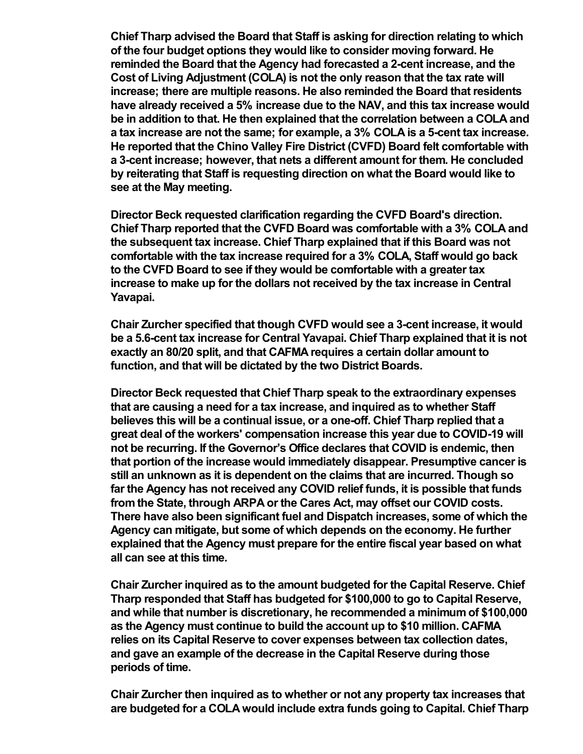**Chief Tharp advised the Board that Staff is asking for direction relating to which of the four budget options they would like to consider moving forward. He reminded the Board that the Agency had forecasted a 2-cent increase, and the Cost of Living Adjustment (COLA) is not the only reason that the tax rate will increase; there are multiple reasons. He also reminded the Board that residents have already received a 5% increase due to the NAV, and this tax increase would be in addition to that. He then explained that the correlation between a COLA and a tax increase are not the same; for example, a 3% COLA is a 5-cent tax increase. He reported that the Chino Valley Fire District (CVFD) Board felt comfortable with a 3-cent increase; however, that nets a different amount for them. He concluded by reiterating that Staff is requesting direction on what the Board would like to see at the May meeting.**

**Director Beck requested clarification regarding the CVFD Board's direction. Chief Tharp reported that the CVFD Board was comfortable with a 3% COLA and the subsequent tax increase. Chief Tharp explained that if this Board was not comfortable with the tax increase required for a 3% COLA, Staff would go back to the CVFD Board to see if they would be comfortable with a greater tax increase to make up for the dollars not received by the tax increase in Central Yavapai.**

**Chair Zurcher specified that though CVFD would see a 3-cent increase, it would be a 5.6-cent tax increase for Central Yavapai. Chief Tharp explained that it is not exactly an 80/20 split, and that CAFMA requires a certain dollar amount to function, and that will be dictated by the two District Boards.** 

**Director Beck requested that Chief Tharp speak to the extraordinary expenses that are causing a need for a tax increase, and inquired as to whether Staff believes this will be a continual issue, or a one-off. Chief Tharp replied that a great deal of the workers' compensation increase this year due to COVID-19 will not be recurring. If the Governor's Office declares that COVID is endemic, then that portion of the increase would immediately disappear. Presumptive cancer is still an unknown as it is dependent on the claims that are incurred. Though so far the Agency has not received any COVID relief funds, it is possible that funds from the State, through ARPA or the Cares Act, may offset our COVID costs. There have also been significant fuel and Dispatch increases, some of which the Agency can mitigate, but some of which depends on the economy. He further explained that the Agency must prepare for the entire fiscal year based on what all can see at this time.**

**Chair Zurcher inquired as to the amount budgeted for the Capital Reserve. Chief Tharp responded that Staff has budgeted for \$100,000 to go to Capital Reserve, and while that number is discretionary, he recommended a minimum of \$100,000 as the Agency must continue to build the account up to \$10 million. CAFMA relies on its Capital Reserve to cover expenses between tax collection dates, and gave an example of the decrease in the Capital Reserve during those periods of time.** 

**Chair Zurcher then inquired as to whether or not any property tax increases that are budgeted for a COLA would include extra funds going to Capital. Chief Tharp**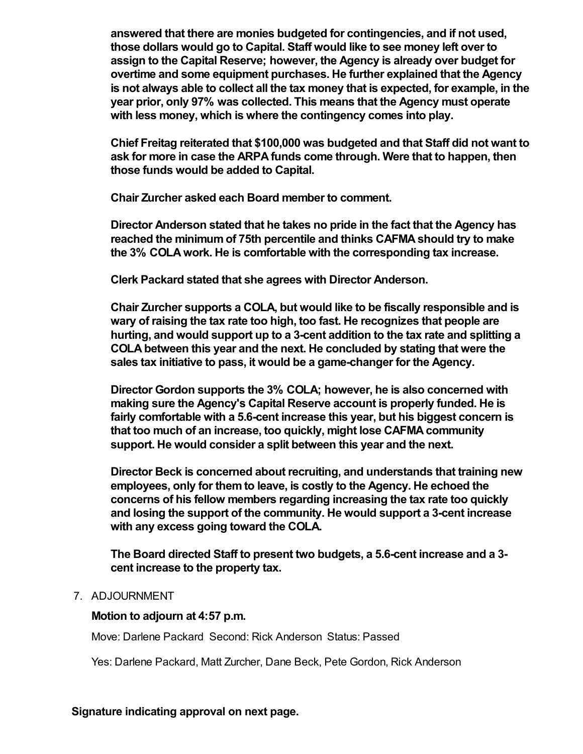**answered that there are monies budgeted for contingencies, and if not used, those dollars would go to Capital. Staff would like to see money left over to assign to the Capital Reserve; however, the Agency is already over budget for overtime and some equipment purchases. He further explained that the Agency is not always able to collect all the tax money that is expected, for example, in the year prior, only 97% was collected. This means that the Agency must operate with less money, which is where the contingency comes into play.** 

**Chief Freitag reiterated that \$100,000 was budgeted and that Staff did not want to ask for more in case the ARPA funds come through. Were that to happen, then those funds would be added to Capital.** 

**Chair Zurcher asked each Board member to comment.**

**Director Anderson stated that he takes no pride in the fact that the Agency has reached the minimum of 75th percentile and thinks CAFMA should try to make the 3% COLA work. He is comfortable with the corresponding tax increase.**

**Clerk Packard stated that she agrees with Director Anderson.**

**Chair Zurcher supports a COLA, but would like to be fiscally responsible and is wary of raising the tax rate too high, too fast. He recognizes that people are hurting, and would support up to a 3-cent addition to the tax rate and splitting a COLA between this year and the next. He concluded by stating that were the sales tax initiative to pass, it would be a game-changer for the Agency.** 

**Director Gordon supports the 3% COLA; however, he is also concerned with making sure the Agency's Capital Reserve account is properly funded. He is fairly comfortable with a 5.6-cent increase this year, but his biggest concern is that too much of an increase, too quickly, might lose CAFMA community support. He would consider a split between this year and the next.** 

**Director Beck is concerned about recruiting, and understands that training new employees, only for them to leave, is costly to the Agency. He echoed the concerns of his fellow members regarding increasing the tax rate too quickly and losing the support of the community. He would support a 3-cent increase with any excess going toward the COLA.**

**The Board directed Staff to present two budgets, a 5.6-cent increase and a 3 cent increase to the property tax.**

#### 7. ADJOURNMENT

#### **Motion to adjourn at 4:57 p.m.**

Move: Darlene Packard Second: Rick Anderson Status: Passed

Yes: Darlene Packard, Matt Zurcher, Dane Beck, Pete Gordon, Rick Anderson